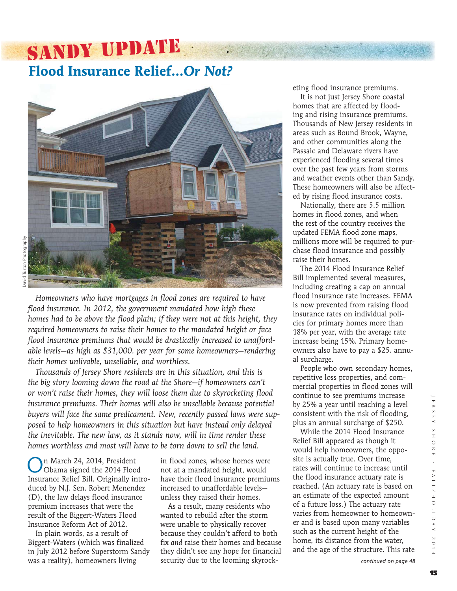### SANDY UPDATE **Flood Insurance Relief…***Or Not?*



*Homeowners who have mortgages in flood zones are required to have flood insurance. In 2012, the government mandated how high these homes had to be above the flood plain; if they were not at this height, they required homeowners to raise their homes to the mandated height or face flood insurance premiums that would be drastically increased to unaffordable levels—as high as \$31,000. per year for some homeowners—rendering their homes unlivable, unsellable, and worthless.* 

*Thousands of Jersey Shore residents are in this situation, and this is the big story looming down the road at the Shore—if homeowners can't or won't raise their homes, they will loose them due to skyrocketing flood insurance premiums. Their homes will also be unsellable because potential buyers will face the same predicament. New, recently passed laws were supposed to help homeowners in this situation but have instead only delayed the inevitable. The new law, as it stands now, will in time render these homes worthless and most will have to be torn down to sell the land.*

On March 24, 2014, President Obama signed the 2014 Flood Insurance Relief Bill. Originally introduced by N.J. Sen. Robert Menendez (D), the law delays flood insurance premium increases that were the result of the Biggert-Waters Flood Insurance Reform Act of 2012.

In plain words, as a result of Biggert-Waters (which was finalized in July 2012 before Superstorm Sandy was a reality), homeowners living

in flood zones, whose homes were not at a mandated height, would have their flood insurance premiums increased to unaffordable levels unless they raised their homes.

 As a result, many residents who wanted to rebuild after the storm were unable to physically recover because they couldn't afford to both fix *and* raise their homes and because they didn't see any hope for financial security due to the looming skyrocketing flood insurance premiums.

 It is not just Jersey Shore coastal homes that are affected by flooding and rising insurance premiums. Thousands of New Jersey residents in areas such as Bound Brook, Wayne, and other communities along the Passaic and Delaware rivers have experienced flooding several times over the past few years from storms and weather events other than Sandy. These homeowners will also be affected by rising flood insurance costs.

 Nationally, there are 5.5 million homes in flood zones, and when the rest of the country receives the updated FEMA flood zone maps, millions more will be required to purchase flood insurance and possibly raise their homes.

 The 2014 Flood Insurance Relief Bill implemented several measures, including creating a cap on annual flood insurance rate increases. FEMA is now prevented from raising flood insurance rates on individual policies for primary homes more than 18% per year, with the average rate increase being 15%. Primary homeowners also have to pay a \$25. annual surcharge.

 People who own secondary homes, repetitive loss properties, and commercial properties in flood zones will continue to see premiums increase by 25% a year until reaching a level consistent with the risk of flooding, plus an annual surcharge of \$250.

 While the 2014 Flood Insurance Relief Bill appeared as though it would help homeowners, the opposite is actually true. Over time, rates will continue to increase until the flood insurance actuary rate is reached. (An actuary rate is based on an estimate of the expected amount of a future loss.) The actuary rate varies from homeowner to homeowner and is based upon many variables such as the current height of the home, its distance from the water, and the age of the structure. This rate

*continued on page 48*